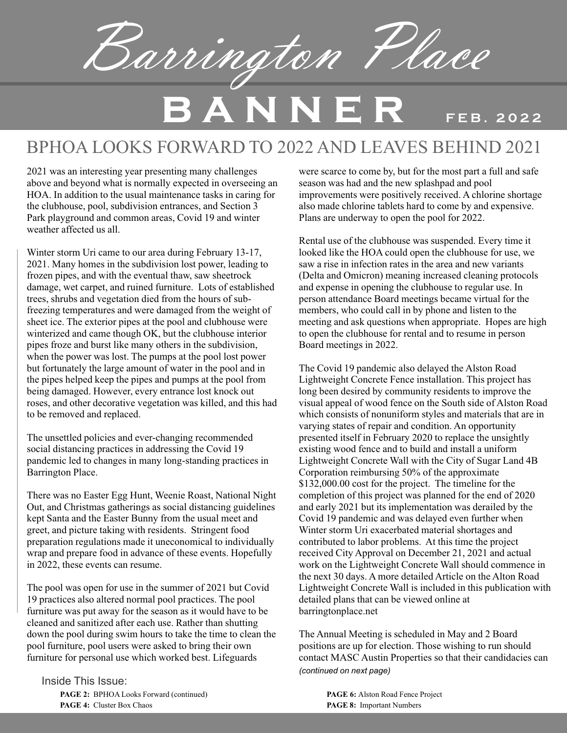Barrington Place

# **b A N N E R FEB. 2022**

### BPHOA LOOKS FORWARD TO 2022 AND LEAVES BEHIND 2021

2021 was an interesting year presenting many challenges above and beyond what is normally expected in overseeing an HOA. In addition to the usual maintenance tasks in caring for the clubhouse, pool, subdivision entrances, and Section 3 Park playground and common areas, Covid 19 and winter weather affected us all.

Winter storm Uri came to our area during February 13-17, 2021. Many homes in the subdivision lost power, leading to frozen pipes, and with the eventual thaw, saw sheetrock damage, wet carpet, and ruined furniture. Lots of established trees, shrubs and vegetation died from the hours of subfreezing temperatures and were damaged from the weight of sheet ice. The exterior pipes at the pool and clubhouse were winterized and came though OK, but the clubhouse interior pipes froze and burst like many others in the subdivision, when the power was lost. The pumps at the pool lost power but fortunately the large amount of water in the pool and in the pipes helped keep the pipes and pumps at the pool from being damaged. However, every entrance lost knock out roses, and other decorative vegetation was killed, and this had to be removed and replaced.

The unsettled policies and ever-changing recommended social distancing practices in addressing the Covid 19 pandemic led to changes in many long-standing practices in Barrington Place.

There was no Easter Egg Hunt, Weenie Roast, National Night Out, and Christmas gatherings as social distancing guidelines kept Santa and the Easter Bunny from the usual meet and greet, and picture taking with residents. Stringent food preparation regulations made it uneconomical to individually wrap and prepare food in advance of these events. Hopefully in 2022, these events can resume.

The pool was open for use in the summer of 2021 but Covid 19 practices also altered normal pool practices. The pool furniture was put away for the season as it would have to be cleaned and sanitized after each use. Rather than shutting down the pool during swim hours to take the time to clean the pool furniture, pool users were asked to bring their own furniture for personal use which worked best. Lifeguards

Inside This Issue:

**PAGE 2:** BPHOA Looks Forward (continued) **PAGE 6:** Alston Road Fence Project **PAGE 4:** Cluster Box Chaos **PAGE 8:** Important Numbers

were scarce to come by, but for the most part a full and safe season was had and the new splashpad and pool improvements were positively received. A chlorine shortage also made chlorine tablets hard to come by and expensive. Plans are underway to open the pool for 2022.

Rental use of the clubhouse was suspended. Every time it looked like the HOA could open the clubhouse for use, we saw a rise in infection rates in the area and new variants (Delta and Omicron) meaning increased cleaning protocols and expense in opening the clubhouse to regular use. In person attendance Board meetings became virtual for the members, who could call in by phone and listen to the meeting and ask questions when appropriate. Hopes are high to open the clubhouse for rental and to resume in person Board meetings in 2022.

The Covid 19 pandemic also delayed the Alston Road Lightweight Concrete Fence installation. This project has long been desired by community residents to improve the visual appeal of wood fence on the South side of Alston Road which consists of nonuniform styles and materials that are in varying states of repair and condition. An opportunity presented itself in February 2020 to replace the unsightly existing wood fence and to build and install a uniform Lightweight Concrete Wall with the City of Sugar Land 4B Corporation reimbursing 50% of the approximate \$132,000.00 cost for the project. The timeline for the completion of this project was planned for the end of 2020 and early 2021 but its implementation was derailed by the Covid 19 pandemic and was delayed even further when Winter storm Uri exacerbated material shortages and contributed to labor problems. At this time the project received City Approval on December 21, 2021 and actual work on the Lightweight Concrete Wall should commence in the next 30 days. A more detailed Article on the Alton Road Lightweight Concrete Wall is included in this publication with detailed plans that can be viewed online at barringtonplace.net

The Annual Meeting is scheduled in May and 2 Board positions are up for election. Those wishing to run should contact MASC Austin Properties so that their candidacies can *(continued on next page)*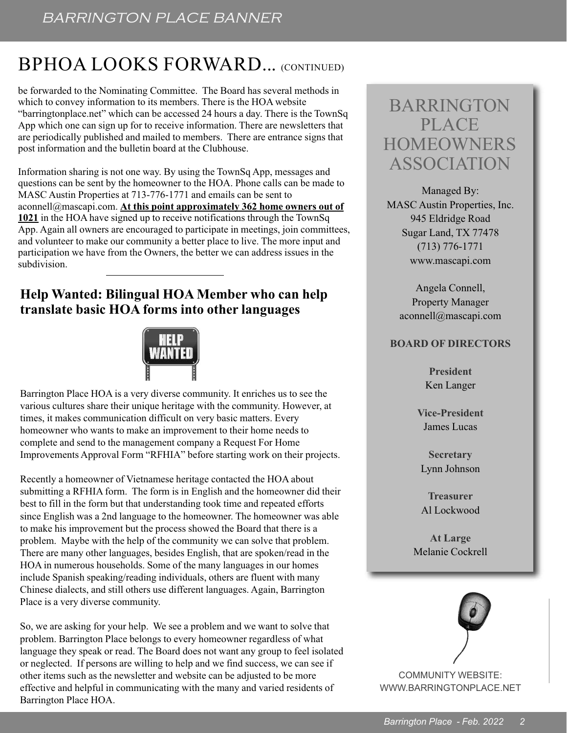### BPHOA LOOKS FORWARD... (CONTINUED)

be forwarded to the Nominating Committee. The Board has several methods in which to convey information to its members. There is the HOA website "barringtonplace.net" which can be accessed 24 hours a day. There is the TownSq App which one can sign up for to receive information. There are newsletters that are periodically published and mailed to members. There are entrance signs that post information and the bulletin board at the Clubhouse.

Information sharing is not one way. By using the TownSq App, messages and questions can be sent by the homeowner to the HOA. Phone calls can be made to MASC Austin Properties at 713-776-1771 and emails can be sent to aconnell@mascapi.com. **At this point approximately 362 home owners out of 1021** in the HOA have signed up to receive notifications through the TownSq App. Again all owners are encouraged to participate in meetings, join committees, and volunteer to make our community a better place to live. The more input and participation we have from the Owners, the better we can address issues in the subdivision.

#### **Help Wanted: Bilingual HOA Member who can help translate basic HOA forms into other languages**



Barrington Place HOA is a very diverse community. It enriches us to see the various cultures share their unique heritage with the community. However, at times, it makes communication difficult on very basic matters. Every homeowner who wants to make an improvement to their home needs to complete and send to the management company a Request For Home Improvements Approval Form "RFHIA" before starting work on their projects.

Recently a homeowner of Vietnamese heritage contacted the HOA about submitting a RFHIA form. The form is in English and the homeowner did their best to fill in the form but that understanding took time and repeated efforts since English was a 2nd language to the homeowner. The homeowner was able to make his improvement but the process showed the Board that there is a problem. Maybe with the help of the community we can solve that problem. There are many other languages, besides English, that are spoken/read in the HOA in numerous households. Some of the many languages in our homes include Spanish speaking/reading individuals, others are fluent with many Chinese dialects, and still others use different languages. Again, Barrington Place is a very diverse community.

So, we are asking for your help. We see a problem and we want to solve that problem. Barrington Place belongs to every homeowner regardless of what language they speak or read. The Board does not want any group to feel isolated or neglected. If persons are willing to help and we find success, we can see if other items such as the newsletter and website can be adjusted to be more effective and helpful in communicating with the many and varied residents of Barrington Place HOA.

### BARRINGTON **PLACE** HOMEOWNERS ASSOCIATION

Managed By: MASC Austin Properties, Inc. 945 Eldridge Road Sugar Land, TX 77478 (713) 776-1771 www.mascapi.com

Angela Connell, Property Manager aconnell@mascapi.com

#### **BOARD OF DIRECTORS**

**President** Ken Langer

**Vice-President** James Lucas

**Secretary** Lynn Johnson

**Treasurer** Al Lockwood

**At Large** Melanie Cockrell



COMMUNITY WEBSITE: WWW.BARRINGTONPLACE.NET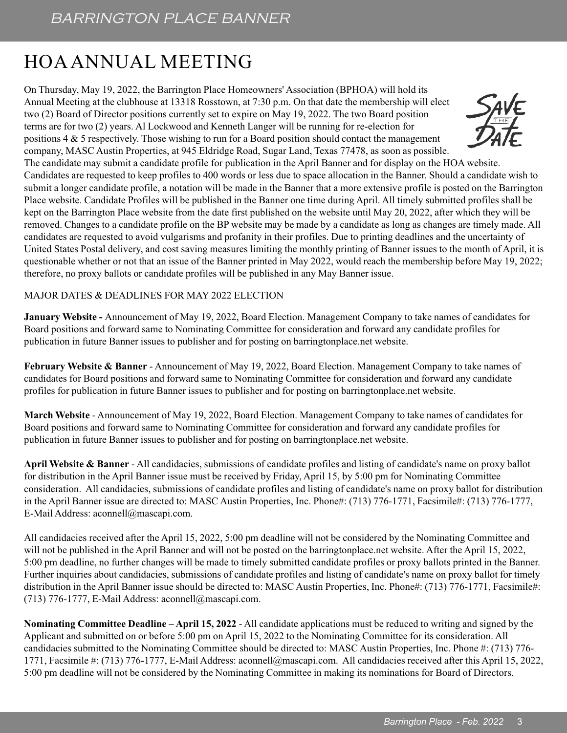### HOA ANNUAL MEETING

On Thursday, May 19, 2022, the Barrington Place Homeowners' Association (BPHOA) will hold its Annual Meeting at the clubhouse at 13318 Rosstown, at 7:30 p.m. On that date the membership will elect two (2) Board of Director positions currently set to expire on May 19, 2022. The two Board position terms are for two (2) years. Al Lockwood and Kenneth Langer will be running for re-election for positions  $4 \& 5$  respectively. Those wishing to run for a Board position should contact the management company, MASC Austin Properties, at 945 Eldridge Road, Sugar Land, Texas 77478, as soon as possible.



The candidate may submit a candidate profile for publication in the April Banner and for display on the HOA website. Candidates are requested to keep profiles to 400 words or less due to space allocation in the Banner. Should a candidate wish to submit a longer candidate profile, a notation will be made in the Banner that a more extensive profile is posted on the Barrington Place website. Candidate Profiles will be published in the Banner one time during April. All timely submitted profiles shall be kept on the Barrington Place website from the date first published on the website until May 20, 2022, after which they will be removed. Changes to a candidate profile on the BP website may be made by a candidate as long as changes are timely made. All candidates are requested to avoid vulgarisms and profanity in their profiles. Due to printing deadlines and the uncertainty of United States Postal delivery, and cost saving measures limiting the monthly printing of Banner issues to the month of April, it is questionable whether or not that an issue of the Banner printed in May 2022, would reach the membership before May 19, 2022; therefore, no proxy ballots or candidate profiles will be published in any May Banner issue.

#### MAJOR DATES & DEADLINES FOR MAY 2022 ELECTION

**January Website -** Announcement of May 19, 2022, Board Election. Management Company to take names of candidates for Board positions and forward same to Nominating Committee for consideration and forward any candidate profiles for publication in future Banner issues to publisher and for posting on barringtonplace.net website.

**February Website & Banner** - Announcement of May 19, 2022, Board Election. Management Company to take names of candidates for Board positions and forward same to Nominating Committee for consideration and forward any candidate profiles for publication in future Banner issues to publisher and for posting on barringtonplace.net website.

**March Website** - Announcement of May 19, 2022, Board Election. Management Company to take names of candidates for Board positions and forward same to Nominating Committee for consideration and forward any candidate profiles for publication in future Banner issues to publisher and for posting on barringtonplace.net website.

**April Website & Banner** - All candidacies, submissions of candidate profiles and listing of candidate's name on proxy ballot for distribution in the April Banner issue must be received by Friday, April 15, by 5:00 pm for Nominating Committee consideration. All candidacies, submissions of candidate profiles and listing of candidate's name on proxy ballot for distribution in the April Banner issue are directed to: MASC Austin Properties, Inc. Phone#: (713) 776-1771, Facsimile#: (713) 776-1777, E-Mail Address: aconnell@mascapi.com.

All candidacies received after the April 15, 2022, 5:00 pm deadline will not be considered by the Nominating Committee and will not be published in the April Banner and will not be posted on the barringtonplace.net website. After the April 15, 2022, 5:00 pm deadline, no further changes will be made to timely submitted candidate profiles or proxy ballots printed in the Banner. Further inquiries about candidacies, submissions of candidate profiles and listing of candidate's name on proxy ballot for timely distribution in the April Banner issue should be directed to: MASC Austin Properties, Inc. Phone#: (713) 776-1771, Facsimile#: (713) 776-1777, E-Mail Address: aconnell@mascapi.com.

**Nominating Committee Deadline – April 15, 2022** - All candidate applications must be reduced to writing and signed by the Applicant and submitted on or before 5:00 pm on April 15, 2022 to the Nominating Committee for its consideration. All candidacies submitted to the Nominating Committee should be directed to: MASC Austin Properties, Inc. Phone #: (713) 776- 1771, Facsimile #: (713) 776-1777, E-Mail Address: aconnell@mascapi.com. All candidacies received after this April 15, 2022, 5:00 pm deadline will not be considered by the Nominating Committee in making its nominations for Board of Directors.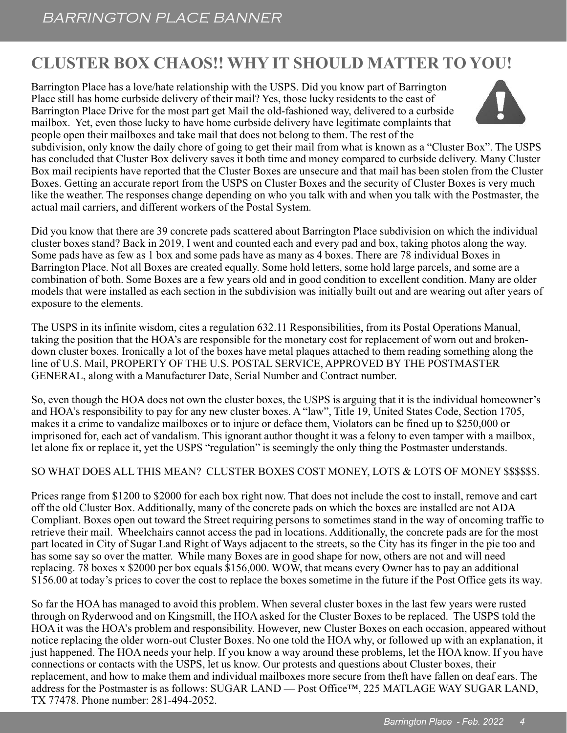### **CLuSTER BOx CHAOS!! WHy IT SHOuLD MATTER TO yOu!**

Barrington Place has a love/hate relationship with the USPS. Did you know part of Barrington Place still has home curbside delivery of their mail? Yes, those lucky residents to the east of Barrington Place Drive for the most part get Mail the old-fashioned way, delivered to a curbside mailbox. Yet, even those lucky to have home curbside delivery have legitimate complaints that people open their mailboxes and take mail that does not belong to them. The rest of the



subdivision, only know the daily chore of going to get their mail from what is known as a "Cluster Box". The USPS has concluded that Cluster Box delivery saves it both time and money compared to curbside delivery. Many Cluster Box mail recipients have reported that the Cluster Boxes are unsecure and that mail has been stolen from the Cluster Boxes. Getting an accurate report from the USPS on Cluster Boxes and the security of Cluster Boxes is very much like the weather. The responses change depending on who you talk with and when you talk with the Postmaster, the actual mail carriers, and different workers of the Postal System.

Did you know that there are 39 concrete pads scattered about Barrington Place subdivision on which the individual cluster boxes stand? Back in 2019, I went and counted each and every pad and box, taking photos along the way. Some pads have as few as 1 box and some pads have as many as 4 boxes. There are 78 individual Boxes in Barrington Place. Not all Boxes are created equally. Some hold letters, some hold large parcels, and some are a combination of both. Some Boxes are a few years old and in good condition to excellent condition. Many are older models that were installed as each section in the subdivision was initially built out and are wearing out after years of exposure to the elements.

The USPS in its infinite wisdom, cites a regulation 632.11 Responsibilities, from its Postal Operations Manual, taking the position that the HOA's are responsible for the monetary cost for replacement of worn out and brokendown cluster boxes. Ironically a lot of the boxes have metal plaques attached to them reading something along the line of U.S. Mail, PROPERTY OF THE U.S. POSTAL SERVICE, APPROVED BY THE POSTMASTER GENERAL, along with a Manufacturer Date, Serial Number and Contract number.

So, even though the HOA does not own the cluster boxes, the USPS is arguing that it is the individual homeowner's and HOA's responsibility to pay for any new cluster boxes. A "law", Title 19, United States Code, Section 1705, makes it a crime to vandalize mailboxes or to injure or deface them, Violators can be fined up to \$250,000 or imprisoned for, each act of vandalism. This ignorant author thought it was a felony to even tamper with a mailbox, let alone fix or replace it, yet the USPS "regulation" is seemingly the only thing the Postmaster understands.

#### SO WHAT DOES ALL THIS MEAN? CLUSTER BOXES COST MONEY, LOTS & LOTS OF MONEY \$\$\$\$\$\$.

Prices range from \$1200 to \$2000 for each box right now. That does not include the cost to install, remove and cart off the old Cluster Box. Additionally, many of the concrete pads on which the boxes are installed are not ADA Compliant. Boxes open out toward the Street requiring persons to sometimes stand in the way of oncoming traffic to retrieve their mail. Wheelchairs cannot access the pad in locations. Additionally, the concrete pads are for the most part located in City of Sugar Land Right of Ways adjacent to the streets, so the City has its finger in the pie too and has some say so over the matter. While many Boxes are in good shape for now, others are not and will need replacing. 78 boxes x \$2000 per box equals \$156,000. WOW, that means every Owner has to pay an additional \$156.00 at today's prices to cover the cost to replace the boxes sometime in the future if the Post Office gets its way.

So far the HOA has managed to avoid this problem. When several cluster boxes in the last few years were rusted through on Ryderwood and on Kingsmill, the HOA asked for the Cluster Boxes to be replaced. The USPS told the HOA it was the HOA's problem and responsibility. However, new Cluster Boxes on each occasion, appeared without notice replacing the older worn-out Cluster Boxes. No one told the HOA why, or followed up with an explanation, it just happened. The HOA needs your help. If you know a way around these problems, let the HOA know. If you have connections or contacts with the USPS, let us know. Our protests and questions about Cluster boxes, their replacement, and how to make them and individual mailboxes more secure from theft have fallen on deaf ears. The address for the Postmaster is as follows: SUGAR LAND — Post Office™, 225 MATLAGE WAY SUGAR LAND, TX 77478. Phone number: 281-494-2052.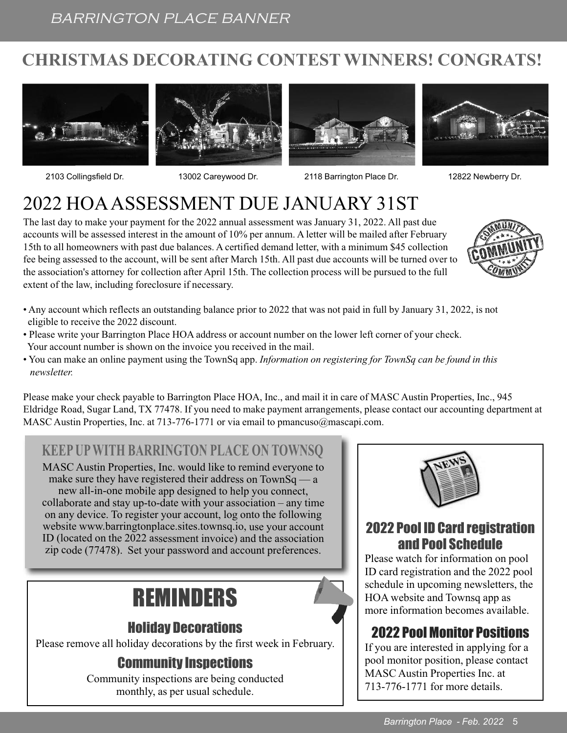### **CHRISTMAS DECORATING CONTEST WINNERS! CONGRATS!**









2103 Collingsfield Dr. 13002 Careywood Dr. 2118 Barrington Place Dr. 12822 Newberry Dr.



# 2022 HOAASSESSMENT DUE JANUARY 31ST

The last day to make your payment for the 2022 annual assessment was January 31, 2022. All past due accounts will be assessed interest in the amount of 10% per annum. A letter will be mailed after February 15th to all homeowners with past due balances. A certified demand letter, with a minimum \$45 collection fee being assessed to the account, will be sent after March 15th. All past due accounts will be turned over to the association's attorney for collection after April 15th. The collection process will be pursued to the full extent of the law, including foreclosure if necessary.



- Any account which reflects an outstanding balance prior to 2022 that was not paid in full by January 31, 2022, is not eligible to receive the 2022 discount.
- Please write your Barrington Place HOA address or account number on the lower left corner of your check. Your account number is shown on the invoice you received in the mail.
- You can make an online payment using the TownSq app. *Information on registering for TownSq can be found in this newsletter.*

Please make your check payable to Barrington Place HOA, Inc., and mail it in care of MASC Austin Properties, Inc., 945 Eldridge Road, Sugar Land, TX 77478. If you need to make payment arrangements, please contact our accounting department at MASC Austin Properties, Inc. at 713-776-1771 or via email to pmancuso@mascapi.com.

### **KEEP uPWITH BARRINGTON PLACE ON TOWNSq**

MASC Austin Properties, Inc. would like to remind everyone to make sure they have registered their address on  $TownSq - a$ new all-in-one mobile app designed to help you connect, collaborate and stay up-to-date with your association – any time on any device. To register your account, log onto the following website www.barringtonplace.sites.townsq.io, use your account ID (located on the 2022 assessment invoice) and the association zip code (77478). Set your password and account preferences.

# REMINDERS

#### Holiday Decorations

Please remove all holiday decorations by the first week in February.

#### Community Inspections

Community inspections are being conducted monthly, as per usual schedule.



#### 2022 Pool ID Card registration and Pool Schedule

Please watch for information on pool ID card registration and the 2022 pool schedule in upcoming newsletters, the HOA website and Townsq app as more information becomes available.

### 2022 Pool Monitor Positions

If you are interested in applying for a pool monitor position, please contact MASC Austin Properties Inc. at 713-776-1771 for more details.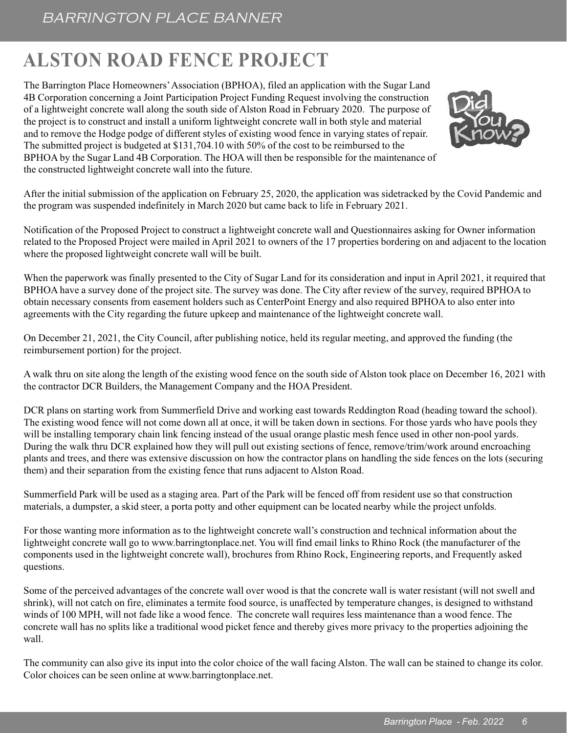# **ALSTON ROAD FENCE PROJECT**

The Barrington Place Homeowners'Association (BPHOA), filed an application with the Sugar Land 4B Corporation concerning a Joint Participation Project Funding Request involving the construction of a lightweight concrete wall along the south side of Alston Road in February 2020. The purpose of the project is to construct and install a uniform lightweight concrete wall in both style and material and to remove the Hodge podge of different styles of existing wood fence in varying states of repair. The submitted project is budgeted at \$131,704.10 with 50% of the cost to be reimbursed to the BPHOA by the Sugar Land 4B Corporation. The HOA will then be responsible for the maintenance of the constructed lightweight concrete wall into the future.



After the initial submission of the application on February 25, 2020, the application was sidetracked by the Covid Pandemic and the program was suspended indefinitely in March 2020 but came back to life in February 2021.

Notification of the Proposed Project to construct a lightweight concrete wall and Questionnaires asking for Owner information related to the Proposed Project were mailed in April 2021 to owners of the 17 properties bordering on and adjacent to the location where the proposed lightweight concrete wall will be built.

When the paperwork was finally presented to the City of Sugar Land for its consideration and input in April 2021, it required that BPHOA have a survey done of the project site. The survey was done. The City after review of the survey, required BPHOA to obtain necessary consents from easement holders such as CenterPoint Energy and also required BPHOA to also enter into agreements with the City regarding the future upkeep and maintenance of the lightweight concrete wall.

On December 21, 2021, the City Council, after publishing notice, held its regular meeting, and approved the funding (the reimbursement portion) for the project.

A walk thru on site along the length of the existing wood fence on the south side of Alston took place on December 16, 2021 with the contractor DCR Builders, the Management Company and the HOA President.

DCR plans on starting work from Summerfield Drive and working east towards Reddington Road (heading toward the school). The existing wood fence will not come down all at once, it will be taken down in sections. For those yards who have pools they will be installing temporary chain link fencing instead of the usual orange plastic mesh fence used in other non-pool yards. During the walk thru DCR explained how they will pull out existing sections of fence, remove/trim/work around encroaching plants and trees, and there was extensive discussion on how the contractor plans on handling the side fences on the lots (securing them) and their separation from the existing fence that runs adjacent to Alston Road.

Summerfield Park will be used as a staging area. Part of the Park will be fenced off from resident use so that construction materials, a dumpster, a skid steer, a porta potty and other equipment can be located nearby while the project unfolds.

For those wanting more information as to the lightweight concrete wall's construction and technical information about the lightweight concrete wall go to www.barringtonplace.net. You will find email links to Rhino Rock (the manufacturer of the components used in the lightweight concrete wall), brochures from Rhino Rock, Engineering reports, and Frequently asked questions.

Some of the perceived advantages of the concrete wall over wood is that the concrete wall is water resistant (will not swell and shrink), will not catch on fire, eliminates a termite food source, is unaffected by temperature changes, is designed to withstand winds of 100 MPH, will not fade like a wood fence. The concrete wall requires less maintenance than a wood fence. The concrete wall has no splits like a traditional wood picket fence and thereby gives more privacy to the properties adjoining the wall.

The community can also give its input into the color choice of the wall facing Alston. The wall can be stained to change its color. Color choices can be seen online at www.barringtonplace.net.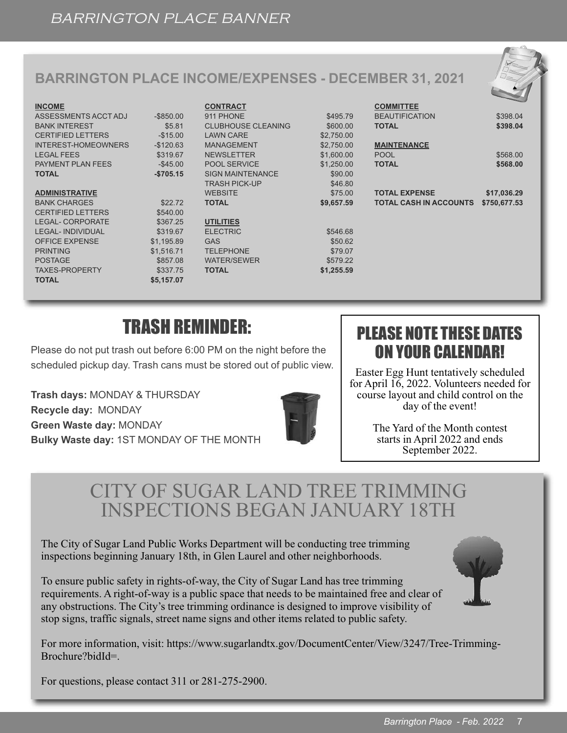### **BARRINGTON PLACE INCOME/EXPENSES - DECEMBER 31, 2021**

|                          |              |                           |            |                               | $\sim$       |
|--------------------------|--------------|---------------------------|------------|-------------------------------|--------------|
| <b>INCOME</b>            |              | <b>CONTRACT</b>           |            | <b>COMMITTEE</b>              |              |
| ASSESSMENTS ACCT ADJ     | $-$ \$850.00 | 911 PHONE                 | \$495.79   | <b>BEAUTIFICATION</b>         | \$398.04     |
| <b>BANK INTEREST</b>     | \$5.81       | <b>CLUBHOUSE CLEANING</b> | \$600.00   | <b>TOTAL</b>                  | \$398.04     |
| <b>CERTIFIED LETTERS</b> | $-$15.00$    | <b>LAWN CARE</b>          | \$2,750.00 |                               |              |
| INTEREST-HOMEOWNERS      | $-$120.63$   | <b>MANAGEMENT</b>         | \$2,750.00 | <b>MAINTENANCE</b>            |              |
| <b>LEGAL FEES</b>        | \$319.67     | <b>NEWSLETTER</b>         | \$1,600.00 | <b>POOL</b>                   | \$568.00     |
| PAYMENT PLAN FEES        | $-$ \$45.00  | <b>POOL SERVICE</b>       | \$1,250.00 | <b>TOTAL</b>                  | \$568.00     |
| <b>TOTAL</b>             | $-$705.15$   | <b>SIGN MAINTENANCE</b>   | \$90.00    |                               |              |
|                          |              | <b>TRASH PICK-UP</b>      | \$46.80    |                               |              |
| <b>ADMINISTRATIVE</b>    |              | <b>WEBSITE</b>            | \$75.00    | <b>TOTAL EXPENSE</b>          | \$17,036.29  |
| <b>BANK CHARGES</b>      | \$22.72      | <b>TOTAL</b>              | \$9,657.59 | <b>TOTAL CASH IN ACCOUNTS</b> | \$750,677.53 |
| <b>CERTIFIED LETTERS</b> | \$540.00     |                           |            |                               |              |
| <b>LEGAL-CORPORATE</b>   | \$367.25     | <b>UTILITIES</b>          |            |                               |              |
| <b>LEGAL-INDIVIDUAL</b>  | \$319.67     | <b>ELECTRIC</b>           | \$546.68   |                               |              |
| <b>OFFICE EXPENSE</b>    | \$1.195.89   | <b>GAS</b>                | \$50.62    |                               |              |
| <b>PRINTING</b>          | \$1.516.71   | <b>TELEPHONE</b>          | \$79.07    |                               |              |
| <b>POSTAGE</b>           | \$857.08     | <b>WATER/SEWER</b>        | \$579.22   |                               |              |
| <b>TAXES-PROPERTY</b>    | \$337.75     | <b>TOTAL</b>              | \$1,255.59 |                               |              |
| <b>TOTAL</b>             | \$5,157.07   |                           |            |                               |              |
|                          |              |                           |            |                               |              |

## TRASH REMINDER:

Please do not put trash out before 6:00 PM on the night before the scheduled pickup day. Trash cans must be stored out of public view.

**Trash days:** MONDAY & THURSDAY **Recycle day:** MONDAY **Green Waste day:** MONDAY **Bulky Waste day:** 1ST MONDAY OF THE MONTH



### PLEASE NOTE THESE DATES ON YOUR CALENDAR!

Easter Egg Hunt tentatively scheduled for April 16, 2022. Volunteers needed for course layout and child control on the day of the event!

> The Yard of the Month contest starts in April 2022 and ends September 2022.

### CITY OF SUGAR LAND TREE TRIMMING INSPECTIONS BEGAN JANUARY 18TH

The City of Sugar Land Public Works Department will be conducting tree trimming inspections beginning January 18th, in Glen Laurel and other neighborhoods.

To ensure public safety in rights-of-way, the City of Sugar Land has tree trimming requirements. A right-of-way is a public space that needs to be maintained free and clear of any obstructions. The City's tree trimming ordinance is designed to improve visibility of stop signs, traffic signals, street name signs and other items related to public safety.

For more information, visit: https://www.sugarlandtx.gov/DocumentCenter/View/3247/Tree-Trimming-Brochure?bidId=.

For questions, please contact 311 or 281-275-2900.